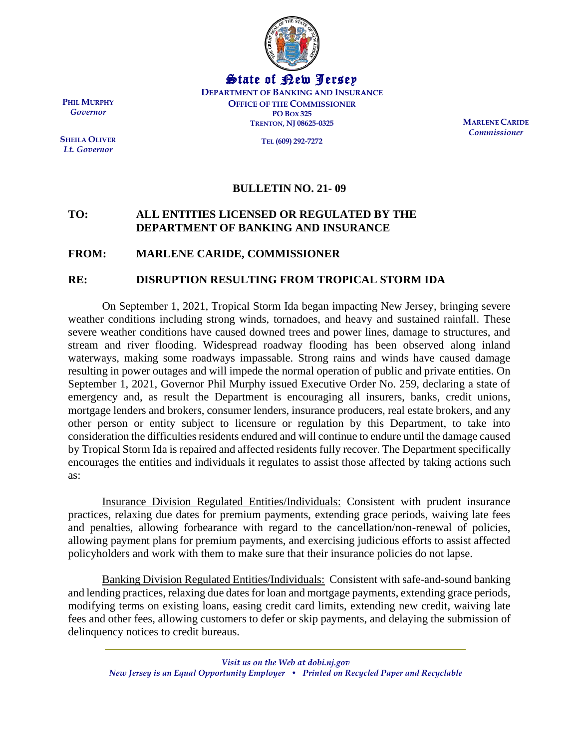

State of New Jersey **DEPARTMENT OF BANKING AND INSURANCE OFFICE OF THE COMMISSIONER PO BOX 325 TRENTON, NJ 08625-0325**

**TEL (609) 292-7272**

**MARLENE CARIDE** *Commissioner*

## **BULLETIN NO. 21- 09**

## **TO: ALL ENTITIES LICENSED OR REGULATED BY THE DEPARTMENT OF BANKING AND INSURANCE**

## **FROM: MARLENE CARIDE, COMMISSIONER**

## **RE: DISRUPTION RESULTING FROM TROPICAL STORM IDA**

On September 1, 2021, Tropical Storm Ida began impacting New Jersey, bringing severe weather conditions including strong winds, tornadoes, and heavy and sustained rainfall. These severe weather conditions have caused downed trees and power lines, damage to structures, and stream and river flooding. Widespread roadway flooding has been observed along inland waterways, making some roadways impassable. Strong rains and winds have caused damage resulting in power outages and will impede the normal operation of public and private entities. On September 1, 2021, Governor Phil Murphy issued [Executive Order No. 259, d](https://nj.gov/infobank/eo/056murphy/pdf/EO-259.pdf)eclaring a state of emergency and, as result the Department is encouraging all insurers, banks, credit unions, mortgage lenders and brokers, consumer lenders, insurance producers, real estate brokers, and any other person or entity subject to licensure or regulation by this Department, to take into consideration the difficulties residents endured and will continue to endure until the damage caused by Tropical Storm Ida is repaired and affected residents fully recover. The Department specifically encourages the entities and individuals it regulates to assist those affected by taking actions such as:

Insurance Division Regulated Entities/Individuals: Consistent with prudent insurance practices, relaxing due dates for premium payments, extending grace periods, waiving late fees and penalties, allowing forbearance with regard to the cancellation/non-renewal of policies, allowing payment plans for premium payments, and exercising judicious efforts to assist affected policyholders and work with them to make sure that their insurance policies do not lapse.

Banking Division Regulated Entities/Individuals: Consistent with safe-and-sound banking and lending practices, relaxing due dates for loan and mortgage payments, extending grace periods, modifying terms on existing loans, easing credit card limits, extending new credit, waiving late fees and other fees, allowing customers to defer or skip payments, and delaying the submission of delinquency notices to credit bureaus.

**PHIL MURPHY** *Governor*

**SHEILA OLIVER** *Lt. Governor*